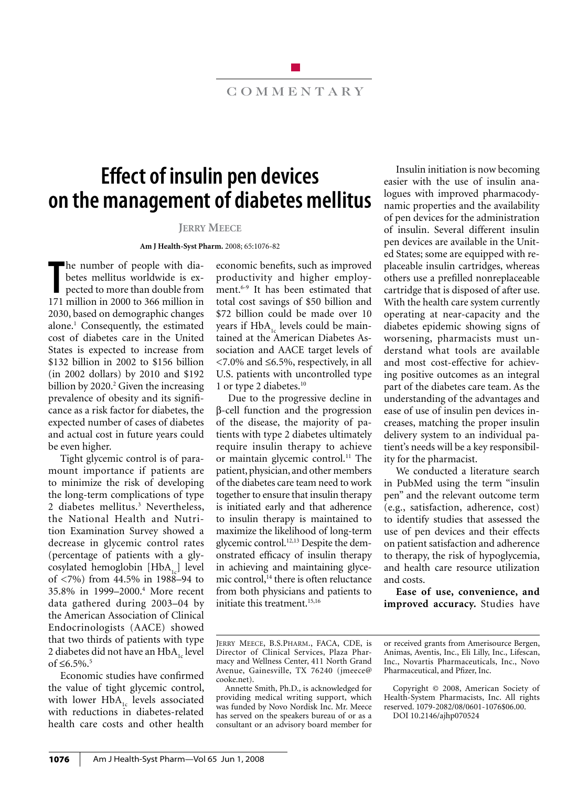# **COMMENTARY**

# **Effect of insulin pen devices on the management of diabetes mellitus**

## **Jerry Meece**

#### **Am J Health-Syst Pharm.** 2008; 65:1076-82

The number of people with diabetes mellitus worldwide is expected to more than double from 171 million in 2000 to 366 million in he number of people with diabetes mellitus worldwide is expected to more than double from 2030, based on demographic changes alone.<sup>1</sup> Consequently, the estimated cost of diabetes care in the United States is expected to increase from \$132 billion in 2002 to \$156 billion (in 2002 dollars) by 2010 and \$192 billion by 2020.<sup>2</sup> Given the increasing prevalence of obesity and its significance as a risk factor for diabetes, the expected number of cases of diabetes and actual cost in future years could be even higher.

Tight glycemic control is of paramount importance if patients are to minimize the risk of developing the long-term complications of type 2 diabetes mellitus.<sup>3</sup> Nevertheless, the National Health and Nutrition Examination Survey showed a decrease in glycemic control rates (percentage of patients with a glycosylated hemoglobin  $[HbA_{1c}]$  level of <7%) from 44.5% in 1988–94 to 35.8% in 1999–2000.4 More recent data gathered during 2003–04 by the American Association of Clinical Endocrinologists (AACE) showed that two thirds of patients with type 2 diabetes did not have an  $HbA_1$  level of  $\leq 6.5\%$ <sup>5</sup>

Economic studies have confirmed the value of tight glycemic control, with lower  $HbA_{1c}$  levels associated with reductions in diabetes-related health care costs and other health

economic benefits, such as improved productivity and higher employment.<sup>6-9</sup> It has been estimated that total cost savings of \$50 billion and \$72 billion could be made over 10 years if  $HbA_{1c}$  levels could be maintained at the American Diabetes Association and AACE target levels of <7.0% and ≤6.5%, respectively, in all U.S. patients with uncontrolled type 1 or type 2 diabetes.<sup>10</sup>

Due to the progressive decline in  $\beta$ -cell function and the progression of the disease, the majority of patients with type 2 diabetes ultimately require insulin therapy to achieve or maintain glycemic control.<sup>11</sup> The patient, physician, and other members of the diabetes care team need to work together to ensure that insulin therapy is initiated early and that adherence to insulin therapy is maintained to maximize the likelihood of long-term glycemic control.<sup>12,13</sup> Despite the demonstrated efficacy of insulin therapy in achieving and maintaining glycemic control,<sup>14</sup> there is often reluctance from both physicians and patients to initiate this treatment.<sup>15,16</sup>

Insulin initiation is now becoming easier with the use of insulin analogues with improved pharmacodynamic properties and the availability of pen devices for the administration of insulin. Several different insulin pen devices are available in the United States; some are equipped with replaceable insulin cartridges, whereas others use a prefilled nonreplaceable cartridge that is disposed of after use. With the health care system currently operating at near-capacity and the diabetes epidemic showing signs of worsening, pharmacists must understand what tools are available and most cost-effective for achieving positive outcomes as an integral part of the diabetes care team. As the understanding of the advantages and ease of use of insulin pen devices increases, matching the proper insulin delivery system to an individual patient's needs will be a key responsibility for the pharmacist.

We conducted a literature search in PubMed using the term "insulin pen" and the relevant outcome term (e.g., satisfaction, adherence, cost) to identify studies that assessed the use of pen devices and their effects on patient satisfaction and adherence to therapy, the risk of hypoglycemia, and health care resource utilization and costs.

**Ease of use, convenience, and improved accuracy.** Studies have

Jerry Meece, B.S.Pharm., FACA, CDE, is Director of Clinical Services, Plaza Pharmacy and Wellness Center, 411 North Grand Avenue, Gainesville, TX 76240 (jmeece@ cooke.net).

Annette Smith, Ph.D., is acknowledged for providing medical writing support, which was funded by Novo Nordisk Inc. Mr. Meece has served on the speakers bureau of or as a consultant or an advisory board member for

or received grants from Amerisource Bergen, Animas, Aventis, Inc., Eli Lilly, Inc., Lifescan, Inc., Novartis Pharmaceuticals, Inc., Novo Pharmaceutical, and Pfizer, Inc.

Copyright © 2008, American Society of Health-System Pharmacists, Inc. All rights reserved. 1079-2082/08/0601-1076\$06.00. DOI 10.2146/ajhp070524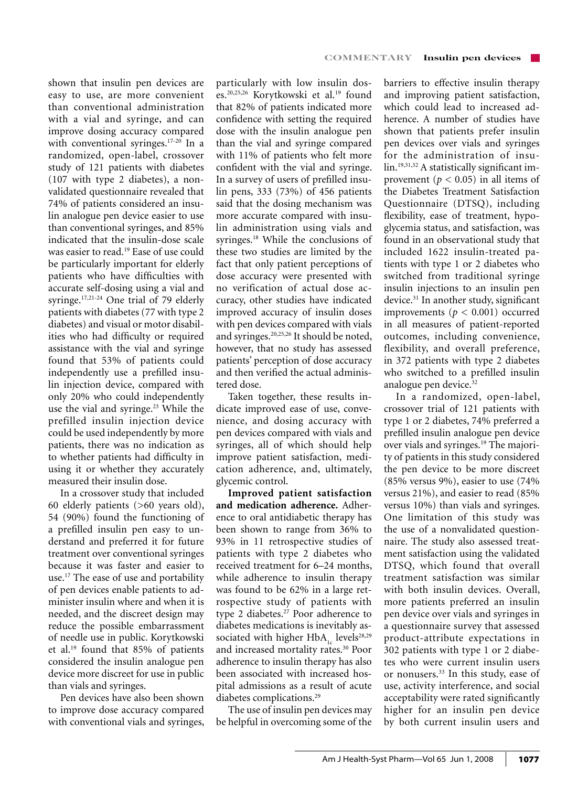shown that insulin pen devices are easy to use, are more convenient than conventional administration with a vial and syringe, and can improve dosing accuracy compared with conventional syringes.<sup>17-20</sup> In a randomized, open-label, crossover study of 121 patients with diabetes (107 with type 2 diabetes), a nonvalidated questionnaire revealed that 74% of patients considered an insulin analogue pen device easier to use than conventional syringes, and 85% indicated that the insulin-dose scale was easier to read.19 Ease of use could be particularly important for elderly patients who have difficulties with accurate self-dosing using a vial and syringe.17,21-24 One trial of 79 elderly patients with diabetes (77 with type 2 diabetes) and visual or motor disabilities who had difficulty or required assistance with the vial and syringe found that 53% of patients could independently use a prefilled insulin injection device, compared with only 20% who could independently use the vial and syringe.<sup>23</sup> While the prefilled insulin injection device could be used independently by more patients, there was no indication as to whether patients had difficulty in using it or whether they accurately measured their insulin dose.

In a crossover study that included 60 elderly patients (>60 years old), 54 (90%) found the functioning of a prefilled insulin pen easy to understand and preferred it for future treatment over conventional syringes because it was faster and easier to use.17 The ease of use and portability of pen devices enable patients to administer insulin where and when it is needed, and the discreet design may reduce the possible embarrassment of needle use in public. Korytkowski et al.19 found that 85% of patients considered the insulin analogue pen device more discreet for use in public than vials and syringes.

Pen devices have also been shown to improve dose accuracy compared with conventional vials and syringes, particularly with low insulin doses.20,25,26 Korytkowski et al.19 found that 82% of patients indicated more confidence with setting the required dose with the insulin analogue pen than the vial and syringe compared with 11% of patients who felt more confident with the vial and syringe. In a survey of users of prefilled insulin pens, 333 (73%) of 456 patients said that the dosing mechanism was more accurate compared with insulin administration using vials and syringes.18 While the conclusions of these two studies are limited by the fact that only patient perceptions of dose accuracy were presented with no verification of actual dose accuracy, other studies have indicated improved accuracy of insulin doses with pen devices compared with vials and syringes.20,25,26 It should be noted, however, that no study has assessed patients' perception of dose accuracy and then verified the actual administered dose.

Taken together, these results indicate improved ease of use, convenience, and dosing accuracy with pen devices compared with vials and syringes, all of which should help improve patient satisfaction, medication adherence, and, ultimately, glycemic control.

**Improved patient satisfaction and medication adherence.** Adherence to oral antidiabetic therapy has been shown to range from 36% to 93% in 11 retrospective studies of patients with type 2 diabetes who received treatment for 6–24 months, while adherence to insulin therapy was found to be 62% in a large retrospective study of patients with type 2 diabetes.<sup>27</sup> Poor adherence to diabetes medications is inevitably associated with higher  $HbA<sub>1c</sub>$  levels<sup>28,29</sup> and increased mortality rates.30 Poor adherence to insulin therapy has also been associated with increased hospital admissions as a result of acute diabetes complications.<sup>29</sup>

The use of insulin pen devices may be helpful in overcoming some of the barriers to effective insulin therapy and improving patient satisfaction, which could lead to increased adherence. A number of studies have shown that patients prefer insulin pen devices over vials and syringes for the administration of insulin.19,31,32 A statistically significant improvement ( $p < 0.05$ ) in all items of the Diabetes Treatment Satisfaction Questionnaire (DTSQ), including flexibility, ease of treatment, hypoglycemia status, and satisfaction, was found in an observational study that included 1622 insulin-treated patients with type 1 or 2 diabetes who switched from traditional syringe insulin injections to an insulin pen device.<sup>31</sup> In another study, significant improvements (*p* < 0.001) occurred in all measures of patient-reported outcomes, including convenience, flexibility, and overall preference, in 372 patients with type 2 diabetes who switched to a prefilled insulin analogue pen device.<sup>32</sup>

In a randomized, open-label, crossover trial of 121 patients with type 1 or 2 diabetes, 74% preferred a prefilled insulin analogue pen device over vials and syringes.<sup>19</sup> The majority of patients in this study considered the pen device to be more discreet (85% versus 9%), easier to use (74% versus 21%), and easier to read (85% versus 10%) than vials and syringes. One limitation of this study was the use of a nonvalidated questionnaire. The study also assessed treatment satisfaction using the validated DTSQ, which found that overall treatment satisfaction was similar with both insulin devices. Overall, more patients preferred an insulin pen device over vials and syringes in a questionnaire survey that assessed product-attribute expectations in 302 patients with type 1 or 2 diabetes who were current insulin users or nonusers.33 In this study, ease of use, activity interference, and social acceptability were rated significantly higher for an insulin pen device by both current insulin users and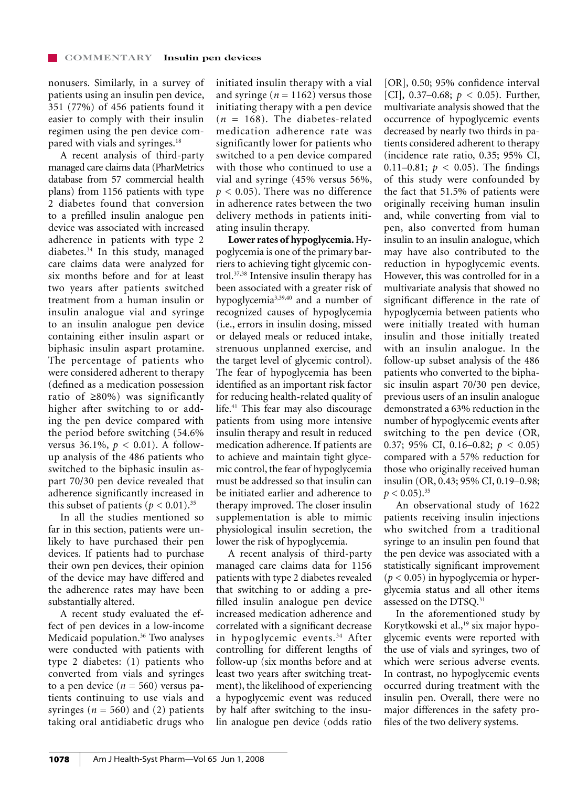nonusers. Similarly, in a survey of patients using an insulin pen device, 351 (77%) of 456 patients found it easier to comply with their insulin regimen using the pen device compared with vials and syringes.18

A recent analysis of third-party managed care claims data (PharMetrics database from 57 commercial health plans) from 1156 patients with type 2 diabetes found that conversion to a prefilled insulin analogue pen device was associated with increased adherence in patients with type 2 diabetes.34 In this study, managed care claims data were analyzed for six months before and for at least two years after patients switched treatment from a human insulin or insulin analogue vial and syringe to an insulin analogue pen device containing either insulin aspart or biphasic insulin aspart protamine. The percentage of patients who were considered adherent to therapy (defined as a medication possession ratio of ≥80%) was significantly higher after switching to or adding the pen device compared with the period before switching (54.6% versus 36.1%, *p* < 0.01). A followup analysis of the 486 patients who switched to the biphasic insulin aspart 70/30 pen device revealed that adherence significantly increased in this subset of patients ( $p < 0.01$ ).<sup>35</sup>

In all the studies mentioned so far in this section, patients were unlikely to have purchased their pen devices. If patients had to purchase their own pen devices, their opinion of the device may have differed and the adherence rates may have been substantially altered.

A recent study evaluated the effect of pen devices in a low-income Medicaid population.<sup>36</sup> Two analyses were conducted with patients with type 2 diabetes: (1) patients who converted from vials and syringes to a pen device  $(n = 560)$  versus patients continuing to use vials and syringes ( $n = 560$ ) and (2) patients taking oral antidiabetic drugs who

initiated insulin therapy with a vial and syringe ( $n = 1162$ ) versus those initiating therapy with a pen device (*n* = 168). The diabetes-related medication adherence rate was significantly lower for patients who switched to a pen device compared with those who continued to use a vial and syringe (45% versus 56%,  $p < 0.05$ ). There was no difference in adherence rates between the two delivery methods in patients initiating insulin therapy.

**Lower rates of hypoglycemia.** Hypoglycemia is one of the primary barriers to achieving tight glycemic control.37,38 Intensive insulin therapy has been associated with a greater risk of hypoglycemia3,39,40 and a number of recognized causes of hypoglycemia (i.e., errors in insulin dosing, missed or delayed meals or reduced intake, strenuous unplanned exercise, and the target level of glycemic control). The fear of hypoglycemia has been identified as an important risk factor for reducing health-related quality of life.41 This fear may also discourage patients from using more intensive insulin therapy and result in reduced medication adherence. If patients are to achieve and maintain tight glycemic control, the fear of hypoglycemia must be addressed so that insulin can be initiated earlier and adherence to therapy improved. The closer insulin supplementation is able to mimic physiological insulin secretion, the lower the risk of hypoglycemia.

A recent analysis of third-party managed care claims data for 1156 patients with type 2 diabetes revealed that switching to or adding a prefilled insulin analogue pen device increased medication adherence and correlated with a significant decrease in hypoglycemic events.<sup>34</sup> After controlling for different lengths of follow-up (six months before and at least two years after switching treatment), the likelihood of experiencing a hypoglycemic event was reduced by half after switching to the insulin analogue pen device (odds ratio

[OR], 0.50; 95% confidence interval [CI], 0.37–0.68; *p* < 0.05). Further, multivariate analysis showed that the occurrence of hypoglycemic events decreased by nearly two thirds in patients considered adherent to therapy (incidence rate ratio, 0.35; 95% CI, 0.11–0.81;  $p < 0.05$ ). The findings of this study were confounded by the fact that 51.5% of patients were originally receiving human insulin and, while converting from vial to pen, also converted from human insulin to an insulin analogue, which may have also contributed to the reduction in hypoglycemic events. However, this was controlled for in a multivariate analysis that showed no significant difference in the rate of hypoglycemia between patients who were initially treated with human insulin and those initially treated with an insulin analogue. In the follow-up subset analysis of the 486 patients who converted to the biphasic insulin aspart 70/30 pen device, previous users of an insulin analogue demonstrated a 63% reduction in the number of hypoglycemic events after switching to the pen device (OR, 0.37; 95% CI, 0.16–0.82; *p* < 0.05) compared with a 57% reduction for those who originally received human insulin (OR, 0.43; 95% CI, 0.19–0.98;  $p < 0.05$ ).<sup>35</sup>

An observational study of 1622 patients receiving insulin injections who switched from a traditional syringe to an insulin pen found that the pen device was associated with a statistically significant improvement (*p* < 0.05) in hypoglycemia or hyperglycemia status and all other items assessed on the DTSQ.31

In the aforementioned study by Korytkowski et al.,<sup>19</sup> six major hypoglycemic events were reported with the use of vials and syringes, two of which were serious adverse events. In contrast, no hypoglycemic events occurred during treatment with the insulin pen. Overall, there were no major differences in the safety profiles of the two delivery systems.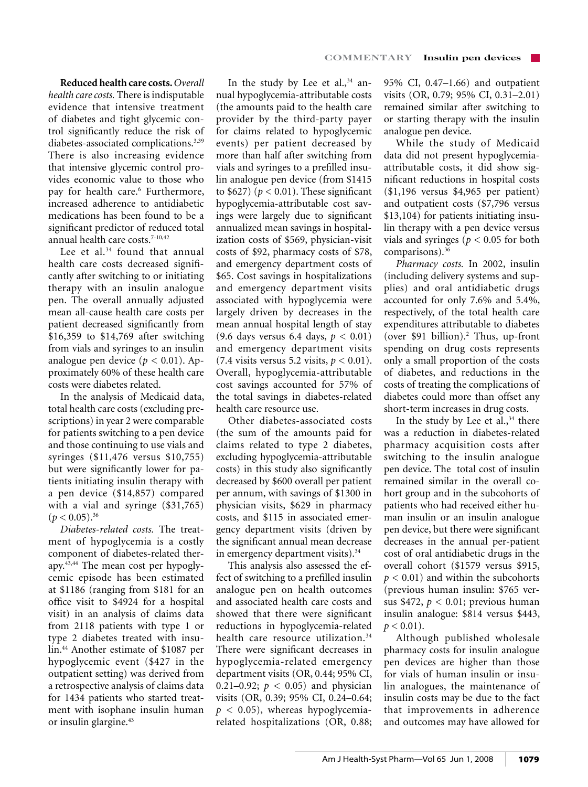**Reduced health care costs.** *Overall health care costs.* There is indisputable evidence that intensive treatment of diabetes and tight glycemic control significantly reduce the risk of diabetes-associated complications.<sup>3,39</sup> There is also increasing evidence that intensive glycemic control provides economic value to those who pay for health care.<sup>6</sup> Furthermore, increased adherence to antidiabetic medications has been found to be a significant predictor of reduced total annual health care costs.<sup>7-10,42</sup>

Lee et al.<sup>34</sup> found that annual health care costs decreased significantly after switching to or initiating therapy with an insulin analogue pen. The overall annually adjusted mean all-cause health care costs per patient decreased significantly from \$16,359 to \$14,769 after switching from vials and syringes to an insulin analogue pen device  $(p < 0.01)$ . Approximately 60% of these health care costs were diabetes related.

In the analysis of Medicaid data, total health care costs (excluding prescriptions) in year 2 were comparable for patients switching to a pen device and those continuing to use vials and syringes (\$11,476 versus \$10,755) but were significantly lower for patients initiating insulin therapy with a pen device (\$14,857) compared with a vial and syringe (\$31,765)  $(p < 0.05).^{36}$ 

*Diabetes-related costs.* The treatment of hypoglycemia is a costly component of diabetes-related therapy.43,44 The mean cost per hypoglycemic episode has been estimated at \$1186 (ranging from \$181 for an office visit to \$4924 for a hospital visit) in an analysis of claims data from 2118 patients with type 1 or type 2 diabetes treated with insulin.44 Another estimate of \$1087 per hypoglycemic event (\$427 in the outpatient setting) was derived from a retrospective analysis of claims data for 1434 patients who started treatment with isophane insulin human or insulin glargine.<sup>43</sup>

In the study by Lee et al.,  $34$  annual hypoglycemia-attributable costs (the amounts paid to the health care provider by the third-party payer for claims related to hypoglycemic events) per patient decreased by more than half after switching from vials and syringes to a prefilled insulin analogue pen device (from \$1415 to \$627) ( $p < 0.01$ ). These significant hypoglycemia-attributable cost savings were largely due to significant annualized mean savings in hospitalization costs of \$569, physician-visit costs of \$92, pharmacy costs of \$78, and emergency department costs of \$65. Cost savings in hospitalizations and emergency department visits associated with hypoglycemia were largely driven by decreases in the mean annual hospital length of stay (9.6 days versus 6.4 days, *p* < 0.01) and emergency department visits  $(7.4 \text{ visits versus } 5.2 \text{ visits, } p < 0.01).$ Overall, hypoglycemia-attributable cost savings accounted for 57% of the total savings in diabetes-related health care resource use.

Other diabetes-associated costs (the sum of the amounts paid for claims related to type 2 diabetes, excluding hypoglycemia-attributable costs) in this study also significantly decreased by \$600 overall per patient per annum, with savings of \$1300 in physician visits, \$629 in pharmacy costs, and \$115 in associated emergency department visits (driven by the significant annual mean decrease in emergency department visits).<sup>34</sup>

This analysis also assessed the effect of switching to a prefilled insulin analogue pen on health outcomes and associated health care costs and showed that there were significant reductions in hypoglycemia-related health care resource utilization.<sup>34</sup> There were significant decreases in hypoglycemia-related emergency department visits (OR, 0.44; 95% CI, 0.21–0.92;  $p < 0.05$ ) and physician visits (OR, 0.39; 95% CI, 0.24–0.64;  $p < 0.05$ ), whereas hypoglycemiarelated hospitalizations (OR, 0.88;

95% CI, 0.47–1.66) and outpatient visits (OR, 0.79; 95% CI, 0.31–2.01) remained similar after switching to or starting therapy with the insulin analogue pen device.

While the study of Medicaid data did not present hypoglycemiaattributable costs, it did show significant reductions in hospital costs (\$1,196 versus \$4,965 per patient) and outpatient costs (\$7,796 versus \$13,104) for patients initiating insulin therapy with a pen device versus vials and syringes ( $p < 0.05$  for both comparisons).36

*Pharmacy costs.* In 2002, insulin (including delivery systems and supplies) and oral antidiabetic drugs accounted for only 7.6% and 5.4%, respectively, of the total health care expenditures attributable to diabetes (over \$91 billion).2 Thus, up-front spending on drug costs represents only a small proportion of the costs of diabetes, and reductions in the costs of treating the complications of diabetes could more than offset any short-term increases in drug costs.

In the study by Lee et al., $34$  there was a reduction in diabetes-related pharmacy acquisition costs after switching to the insulin analogue pen device. The total cost of insulin remained similar in the overall cohort group and in the subcohorts of patients who had received either human insulin or an insulin analogue pen device, but there were significant decreases in the annual per-patient cost of oral antidiabetic drugs in the overall cohort (\$1579 versus \$915,  $p < 0.01$ ) and within the subcohorts (previous human insulin: \$765 versus  $$472, p < 0.01$ ; previous human insulin analogue: \$814 versus \$443,  $p < 0.01$ ).

Although published wholesale pharmacy costs for insulin analogue pen devices are higher than those for vials of human insulin or insulin analogues, the maintenance of insulin costs may be due to the fact that improvements in adherence and outcomes may have allowed for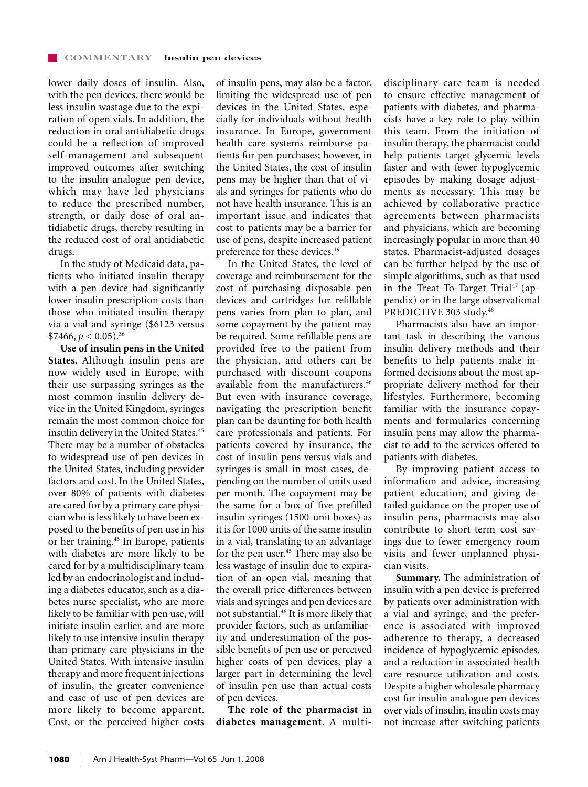lower daily doses of insulin. Also, with the pen devices, there would be less insulin wastage due to the expiration of open vials. In addition, the reduction in oral antidiabetic drugs could be a reflection of improved self-management and subsequent improved outcomes after switching to the insulin analogue pen device, which may have led physicians to reduce the prescribed number, strength, or daily dose of oral antidiabetic drugs, thereby resulting in the reduced cost of oral antidiabetic drugs.

In the study of Medicaid data, patients who initiated insulin therapy with a pen device had significantly lower insulin prescription costs than those who initiated insulin therapy via a vial and syringe (\$6123 versus  $$7466, p < 0.05$ <sup>36</sup>

**Use of insulin pens in the United States.** Although insulin pens are now widely used in Europe, with their use surpassing syringes as the most common insulin delivery device in the United Kingdom, syringes remain the most common choice for insulin delivery in the United States.45 There may be a number of obstacles to widespread use of pen devices in the United States, including provider factors and cost. In the United States, over 80% of patients with diabetes are cared for by a primary care physician who is less likely to have been exposed to the benefits of pen use in his or her training.45 In Europe, patients with diabetes are more likely to be cared for by a multidisciplinary team led by an endocrinologist and including a diabetes educator, such as a diabetes nurse specialist, who are more likely to be familiar with pen use, will initiate insulin earlier, and are more likely to use intensive insulin therapy than primary care physicians in the United States. With intensive insulin therapy and more frequent injections of insulin, the greater convenience and ease of use of pen devices are more likely to become apparent. Cost, or the perceived higher costs of insulin pens, may also be a factor, limiting the widespread use of pen devices in the United States, especially for individuals without health insurance. In Europe, government health care systems reimburse patients for pen purchases; however, in the United States, the cost of insulin pens may be higher than that of vials and syringes for patients who do not have health insurance. This is an important issue and indicates that cost to patients may be a barrier for use of pens, despite increased patient preference for these devices.<sup>19</sup>

In the United States, the level of coverage and reimbursement for the cost of purchasing disposable pen devices and cartridges for refillable pens varies from plan to plan, and some copayment by the patient may be required. Some refillable pens are provided free to the patient from the physician, and others can be purchased with discount coupons available from the manufacturers.46 But even with insurance coverage, navigating the prescription benefit plan can be daunting for both health care professionals and patients. For patients covered by insurance, the cost of insulin pens versus vials and syringes is small in most cases, depending on the number of units used per month. The copayment may be the same for a box of five prefilled insulin syringes (1500-unit boxes) as it is for 1000 units of the same insulin in a vial, translating to an advantage for the pen user.45 There may also be less wastage of insulin due to expiration of an open vial, meaning that the overall price differences between vials and syringes and pen devices are not substantial.46 It is more likely that provider factors, such as unfamiliarity and underestimation of the possible benefits of pen use or perceived higher costs of pen devices, play a larger part in determining the level of insulin pen use than actual costs of pen devices.

**The role of the pharmacist in diabetes management.** A multidisciplinary care team is needed to ensure effective management of patients with diabetes, and pharmacists have a key role to play within this team. From the initiation of insulin therapy, the pharmacist could help patients target glycemic levels faster and with fewer hypoglycemic episodes by making dosage adjustments as necessary. This may be achieved by collaborative practice agreements between pharmacists and physicians, which are becoming increasingly popular in more than 40 states. Pharmacist-adjusted dosages can be further helped by the use of simple algorithms, such as that used in the Treat-To-Target Trial $47$  (appendix) or in the large observational PREDICTIVE 303 study.<sup>48</sup>

Pharmacists also have an important task in describing the various insulin delivery methods and their benefits to help patients make informed decisions about the most appropriate delivery method for their lifestyles. Furthermore, becoming familiar with the insurance copayments and formularies concerning insulin pens may allow the pharmacist to add to the services offered to patients with diabetes.

By improving patient access to information and advice, increasing patient education, and giving detailed guidance on the proper use of insulin pens, pharmacists may also contribute to short-term cost savings due to fewer emergency room visits and fewer unplanned physician visits.

**Summary.** The administration of insulin with a pen device is preferred by patients over administration with a vial and syringe, and the preference is associated with improved adherence to therapy, a decreased incidence of hypoglycemic episodes, and a reduction in associated health care resource utilization and costs. Despite a higher wholesale pharmacy cost for insulin analogue pen devices over vials of insulin, insulin costs may not increase after switching patients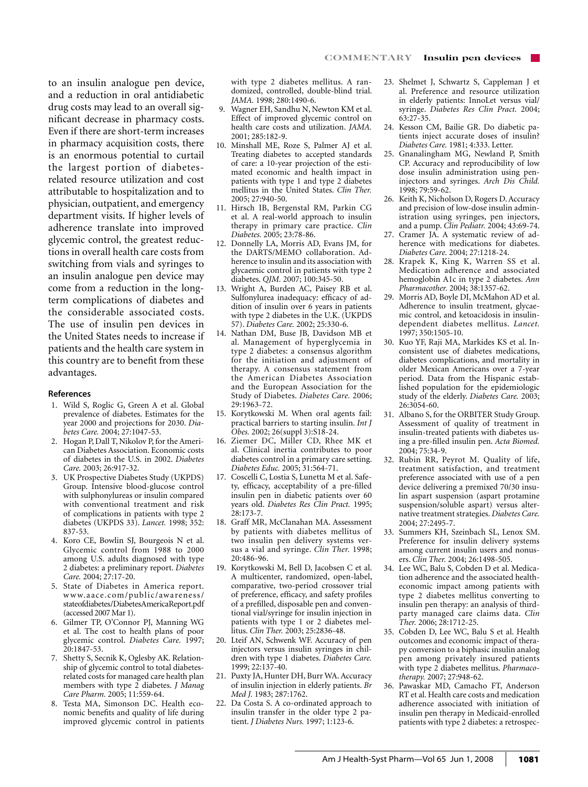to an insulin analogue pen device, and a reduction in oral antidiabetic drug costs may lead to an overall significant decrease in pharmacy costs. Even if there are short-term increases in pharmacy acquisition costs, there is an enormous potential to curtail the largest portion of diabetesrelated resource utilization and cost attributable to hospitalization and to physician, outpatient, and emergency department visits. If higher levels of adherence translate into improved glycemic control, the greatest reductions in overall health care costs from switching from vials and syringes to an insulin analogue pen device may come from a reduction in the longterm complications of diabetes and the considerable associated costs. The use of insulin pen devices in the United States needs to increase if patients and the health care system in this country are to benefit from these advantages.

#### **References**

- 1. Wild S, Roglic G, Green A et al. Global prevalence of diabetes. Estimates for the year 2000 and projections for 2030. *Diabetes Care.* 2004; 27:1047-53.
- 2. Hogan P, Dall T, Nikolov P, for the American Diabetes Association. Economic costs of diabetes in the U.S. in 2002. *Diabetes Care.* 2003; 26:917-32.
- 3. UK Prospective Diabetes Study (UKPDS) Group. Intensive blood-glucose control with sulphonylureas or insulin compared with conventional treatment and risk of complications in patients with type 2 diabetes (UKPDS 33). *Lancet.* 1998; 352: 837-53.
- 4. Koro CE, Bowlin SJ, Bourgeois N et al. Glycemic control from 1988 to 2000 among U.S. adults diagnosed with type 2 diabetes: a preliminary report. *Diabetes Care.* 2004; 27:17-20.
- 5. State of Diabetes in America report. www.aace.com/public/awareness/ stateofdiabetes/DiabetesAmericaReport.pdf (accessed 2007 Mar 1).
- 6. Gilmer TP, O'Connor PJ, Manning WG et al. The cost to health plans of poor glycemic control. *Diabetes Care*. 1997; 20:1847-53.
- 7. Shetty S, Secnik K, Oglesby AK. Relationship of glycemic control to total diabetesrelated costs for managed care health plan members with type 2 diabetes. *J Manag Care Pharm.* 2005; 11:559-64.
- 8. Testa MA, Simonson DC. Health economic benefits and quality of life during improved glycemic control in patients

with type 2 diabetes mellitus. A randomized, controlled, double-blind trial. *JAMA.* 1998; 280:1490-6.

- 9. Wagner EH, Sandhu N, Newton KM et al. Effect of improved glycemic control on health care costs and utilization. *JAMA.* 2001; 285:182-9.
- 10. Minshall ME, Roze S, Palmer AJ et al. Treating diabetes to accepted standards of care: a 10-year projection of the estimated economic and health impact in patients with type 1 and type 2 diabetes mellitus in the United States. *Clin Ther.* 2005; 27:940-50.
- 11. Hirsch IB, Bergenstal RM, Parkin CG et al. A real-world approach to insulin therapy in primary care practice. *Clin Diabetes.* 2005; 23:78-86.
- 12. Donnelly LA, Morris AD, Evans JM, for the DARTS/MEMO collaboration. Adherence to insulin and its association with glycaemic control in patients with type 2 diabetes. *QJM.* 2007; 100:345-50.
- 13. Wright A, Burden AC, Paisey RB et al. Sulfonylurea inadequacy: efficacy of addition of insulin over 6 years in patients with type 2 diabetes in the U.K. (UKPDS 57). *Diabetes Care.* 2002; 25:330-6.
- 14. Nathan DM, Buse JB, Davidson MB et al. Management of hyperglycemia in type 2 diabetes: a consensus algorithm for the initiation and adjustment of therapy. A consensus statement from the American Diabetes Association and the European Association for the Study of Diabetes. *Diabetes Care.* 2006; 29:1963-72.
- 15. Korytkowski M. When oral agents fail: practical barriers to starting insulin. *Int J Obes.* 2002; 26(suppl 3):S18-24.
- 16. Ziemer DC, Miller CD, Rhee MK et al. Clinical inertia contributes to poor diabetes control in a primary care setting. *Diabetes Educ.* 2005; 31:564-71.
- 17. Coscelli C, Lostia S, Lunetta M et al. Safety, efficacy, acceptability of a pre-filled insulin pen in diabetic patients over 60 years old. *Diabetes Res Clin Pract.* 1995; 28:173-7.
- 18. Graff MR, McClanahan MA. Assessment by patients with diabetes mellitus of two insulin pen delivery systems versus a vial and syringe. *Clin Ther.* 1998; 20:486-96.
- 19. Korytkowski M, Bell D, Jacobsen C et al. A multicenter, randomized, open-label, comparative, two-period crossover trial of preference, efficacy, and safety profiles of a prefilled, disposable pen and conventional vial/syringe for insulin injection in patients with type 1 or 2 diabetes mellitus. *Clin Ther.* 2003; 25:2836-48.
- 20. Lteif AN, Schwenk WF. Accuracy of pen injectors versus insulin syringes in children with type 1 diabetes. *Diabetes Care.* 1999; 22:137-40.
- 21. Puxty JA, Hunter DH, Burr WA. Accuracy of insulin injection in elderly patients. *Br Med J.* 1983; 287:1762.
- 22. Da Costa S. A co-ordinated approach to insulin transfer in the older type 2 patient. *J Diabetes Nurs.* 1997; 1:123-6.
- 23. Shelmet J, Schwartz S, Cappleman J et al. Preference and resource utilization in elderly patients: InnoLet versus vial/ syringe. *Diabetes Res Clin Pract.* 2004; 63:27-35.
- 24. Kesson CM, Bailie GR. Do diabetic patients inject accurate doses of insulin? *Diabetes Care.* 1981; 4:333. Letter.
- 25. Gnanalingham MG, Newland P, Smith CP. Accuracy and reproducibility of low dose insulin administration using peninjectors and syringes. *Arch Dis Child.* 1998; 79:59-62.
- 26. Keith K, Nicholson D, Rogers D. Accuracy and precision of low-dose insulin administration using syringes, pen injectors, and a pump. *Clin Pediatr.* 2004; 43:69-74.
- 27. Cramer JA. A systematic review of adherence with medications for diabetes. *Diabetes Care.* 2004; 27:1218-24.
- 28. Krapek K, King K, Warren SS et al. Medication adherence and associated hemoglobin A1c in type 2 diabetes. *Ann Pharmacother.* 2004; 38:1357-62.
- 29. Morris AD, Boyle DI, McMahon AD et al. Adherence to insulin treatment, glycaemic control, and ketoacidosis in insulindependent diabetes mellitus. *Lancet.* 1997; 350:1505-10.
- 30. Kuo YF, Raji MA, Markides KS et al. Inconsistent use of diabetes medications, diabetes complications, and mortality in older Mexican Americans over a 7-year period. Data from the Hispanic established population for the epidemiologic study of the elderly. *Diabetes Care.* 2003; 26:3054-60.
- 31. Albano S, for the ORBITER Study Group. Assessment of quality of treatment in insulin-treated patients with diabetes using a pre-filled insulin pen. *Acta Biomed.* 2004; 75:34-9.
- 32. Rubin RR, Peyrot M. Quality of life, treatment satisfaction, and treatment preference associated with use of a pen device delivering a premixed 70/30 insulin aspart suspension (aspart protamine suspension/soluble aspart) versus alternative treatment strategies. *Diabetes Care.* 2004; 27:2495-7.
- 33. Summers KH, Szeinbach SL, Lenox SM. Preference for insulin delivery systems among current insulin users and nonusers. *Clin Ther.* 2004; 26:1498-505.
- 34. Lee WC, Balu S, Cobden D et al. Medication adherence and the associated healtheconomic impact among patients with type 2 diabetes mellitus converting to insulin pen therapy: an analysis of thirdparty managed care claims data. *Clin Ther.* 2006; 28:1712-25.
- 35. Cobden D, Lee WC, Balu S et al. Health outcomes and economic impact of therapy conversion to a biphasic insulin analog pen among privately insured patients with type 2 diabetes mellitus. *Pharmacotherapy.* 2007; 27:948-62.
- 36. Pawaskar MD, Camacho FT, Anderson RT et al. Health care costs and medication adherence associated with initiation of insulin pen therapy in Medicaid-enrolled patients with type 2 diabetes: a retrospec-